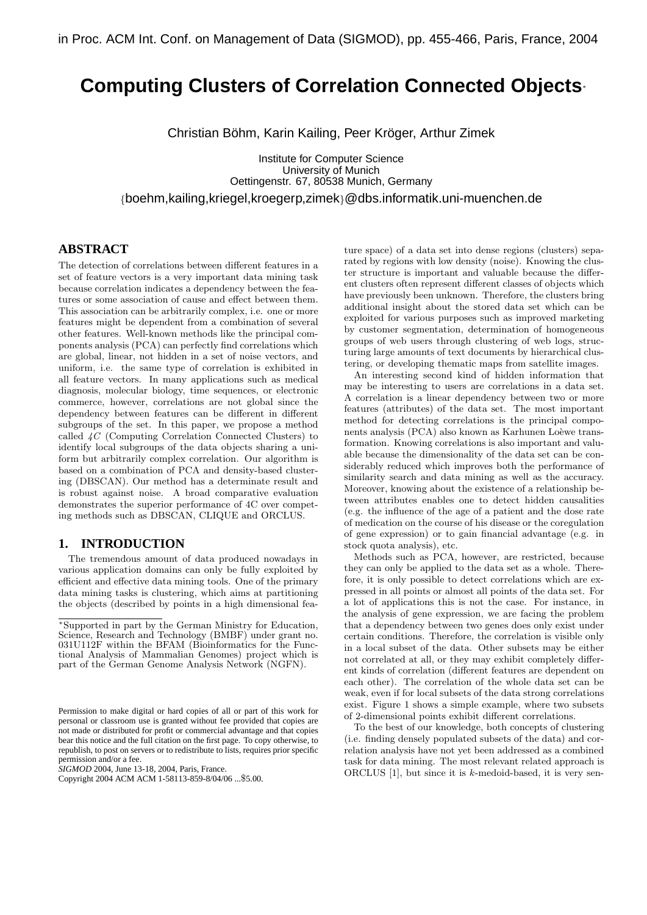# **Computing Clusters of Correlation Connected Objects**<sup>∗</sup>

Christian Böhm, Karin Kailing, Peer Kröger, Arthur Zimek

Institute for Computer Science University of Munich Oettingenstr. 67, 80538 Munich, Germany {boehm,kailing,kriegel,kroegerp,zimek}@dbs.informatik.uni-muenchen.de

## **ABSTRACT**

The detection of correlations between different features in a set of feature vectors is a very important data mining task because correlation indicates a dependency between the features or some association of cause and effect between them. This association can be arbitrarily complex, i.e. one or more features might be dependent from a combination of several other features. Well-known methods like the principal components analysis (PCA) can perfectly find correlations which are global, linear, not hidden in a set of noise vectors, and uniform, i.e. the same type of correlation is exhibited in all feature vectors. In many applications such as medical diagnosis, molecular biology, time sequences, or electronic commerce, however, correlations are not global since the dependency between features can be different in different subgroups of the set. In this paper, we propose a method called 4C (Computing Correlation Connected Clusters) to identify local subgroups of the data objects sharing a uniform but arbitrarily complex correlation. Our algorithm is based on a combination of PCA and density-based clustering (DBSCAN). Our method has a determinate result and is robust against noise. A broad comparative evaluation demonstrates the superior performance of 4C over competing methods such as DBSCAN, CLIQUE and ORCLUS.

### **1. INTRODUCTION**

The tremendous amount of data produced nowadays in various application domains can only be fully exploited by efficient and effective data mining tools. One of the primary data mining tasks is clustering, which aims at partitioning the objects (described by points in a high dimensional fea-

*SIGMOD* 2004, June 13-18, 2004, Paris, France.

ture space) of a data set into dense regions (clusters) separated by regions with low density (noise). Knowing the cluster structure is important and valuable because the different clusters often represent different classes of objects which have previously been unknown. Therefore, the clusters bring additional insight about the stored data set which can be exploited for various purposes such as improved marketing by customer segmentation, determination of homogeneous groups of web users through clustering of web logs, structuring large amounts of text documents by hierarchical clustering, or developing thematic maps from satellite images.

An interesting second kind of hidden information that may be interesting to users are correlations in a data set. A correlation is a linear dependency between two or more features (attributes) of the data set. The most important method for detecting correlations is the principal components analysis (PCA) also known as Karhunen Loèwe transformation. Knowing correlations is also important and valuable because the dimensionality of the data set can be considerably reduced which improves both the performance of similarity search and data mining as well as the accuracy. Moreover, knowing about the existence of a relationship between attributes enables one to detect hidden causalities (e.g. the influence of the age of a patient and the dose rate of medication on the course of his disease or the coregulation of gene expression) or to gain financial advantage (e.g. in stock quota analysis), etc.

Methods such as PCA, however, are restricted, because they can only be applied to the data set as a whole. Therefore, it is only possible to detect correlations which are expressed in all points or almost all points of the data set. For a lot of applications this is not the case. For instance, in the analysis of gene expression, we are facing the problem that a dependency between two genes does only exist under certain conditions. Therefore, the correlation is visible only in a local subset of the data. Other subsets may be either not correlated at all, or they may exhibit completely different kinds of correlation (different features are dependent on each other). The correlation of the whole data set can be weak, even if for local subsets of the data strong correlations exist. Figure 1 shows a simple example, where two subsets of 2-dimensional points exhibit different correlations.

To the best of our knowledge, both concepts of clustering (i.e. finding densely populated subsets of the data) and correlation analysis have not yet been addressed as a combined task for data mining. The most relevant related approach is ORCLUS  $[1]$ , but since it is k-medoid-based, it is very sen-

<sup>∗</sup>Supported in part by the German Ministry for Education, Science, Research and Technology (BMBF) under grant no. 031U112F within the BFAM (Bioinformatics for the Functional Analysis of Mammalian Genomes) project which is part of the German Genome Analysis Network (NGFN).

Permission to make digital or hard copies of all or part of this work for personal or classroom use is granted without fee provided that copies are not made or distributed for profit or commercial advantage and that copies bear this notice and the full citation on the first page. To copy otherwise, to republish, to post on servers or to redistribute to lists, requires prior specific permission and/or a fee.

Copyright 2004 ACM ACM 1-58113-859-8/04/06 ...\$5.00.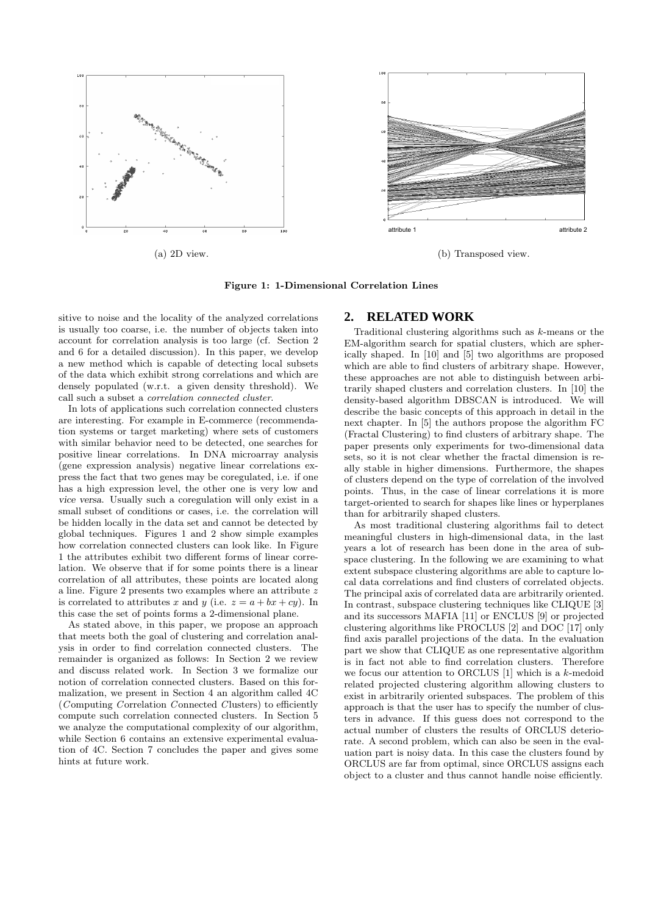

Figure 1: 1-Dimensional Correlation Lines

sitive to noise and the locality of the analyzed correlations is usually too coarse, i.e. the number of objects taken into account for correlation analysis is too large (cf. Section 2 and 6 for a detailed discussion). In this paper, we develop a new method which is capable of detecting local subsets of the data which exhibit strong correlations and which are densely populated (w.r.t. a given density threshold). We call such a subset a correlation connected cluster.

In lots of applications such correlation connected clusters are interesting. For example in E-commerce (recommendation systems or target marketing) where sets of customers with similar behavior need to be detected, one searches for positive linear correlations. In DNA microarray analysis (gene expression analysis) negative linear correlations express the fact that two genes may be coregulated, i.e. if one has a high expression level, the other one is very low and vice versa. Usually such a coregulation will only exist in a small subset of conditions or cases, i.e. the correlation will be hidden locally in the data set and cannot be detected by global techniques. Figures 1 and 2 show simple examples how correlation connected clusters can look like. In Figure 1 the attributes exhibit two different forms of linear correlation. We observe that if for some points there is a linear correlation of all attributes, these points are located along a line. Figure 2 presents two examples where an attribute z is correlated to attributes x and y (i.e.  $z = a + bx + cy$ ). In this case the set of points forms a 2-dimensional plane.

As stated above, in this paper, we propose an approach that meets both the goal of clustering and correlation analysis in order to find correlation connected clusters. The remainder is organized as follows: In Section 2 we review and discuss related work. In Section 3 we formalize our notion of correlation connected clusters. Based on this formalization, we present in Section 4 an algorithm called 4C (Computing Correlation Connected Clusters) to efficiently compute such correlation connected clusters. In Section 5 we analyze the computational complexity of our algorithm, while Section 6 contains an extensive experimental evaluation of 4C. Section 7 concludes the paper and gives some hints at future work.

### **2. RELATED WORK**

Traditional clustering algorithms such as k-means or the EM-algorithm search for spatial clusters, which are spherically shaped. In [10] and [5] two algorithms are proposed which are able to find clusters of arbitrary shape. However, these approaches are not able to distinguish between arbitrarily shaped clusters and correlation clusters. In [10] the density-based algorithm DBSCAN is introduced. We will describe the basic concepts of this approach in detail in the next chapter. In [5] the authors propose the algorithm FC (Fractal Clustering) to find clusters of arbitrary shape. The paper presents only experiments for two-dimensional data sets, so it is not clear whether the fractal dimension is really stable in higher dimensions. Furthermore, the shapes of clusters depend on the type of correlation of the involved points. Thus, in the case of linear correlations it is more target-oriented to search for shapes like lines or hyperplanes than for arbitrarily shaped clusters.

As most traditional clustering algorithms fail to detect meaningful clusters in high-dimensional data, in the last years a lot of research has been done in the area of subspace clustering. In the following we are examining to what extent subspace clustering algorithms are able to capture local data correlations and find clusters of correlated objects. The principal axis of correlated data are arbitrarily oriented. In contrast, subspace clustering techniques like CLIQUE [3] and its successors MAFIA [11] or ENCLUS [9] or projected clustering algorithms like PROCLUS [2] and DOC [17] only find axis parallel projections of the data. In the evaluation part we show that CLIQUE as one representative algorithm is in fact not able to find correlation clusters. Therefore we focus our attention to ORCLUS [1] which is a k-medoid related projected clustering algorithm allowing clusters to exist in arbitrarily oriented subspaces. The problem of this approach is that the user has to specify the number of clusters in advance. If this guess does not correspond to the actual number of clusters the results of ORCLUS deteriorate. A second problem, which can also be seen in the evaluation part is noisy data. In this case the clusters found by ORCLUS are far from optimal, since ORCLUS assigns each object to a cluster and thus cannot handle noise efficiently.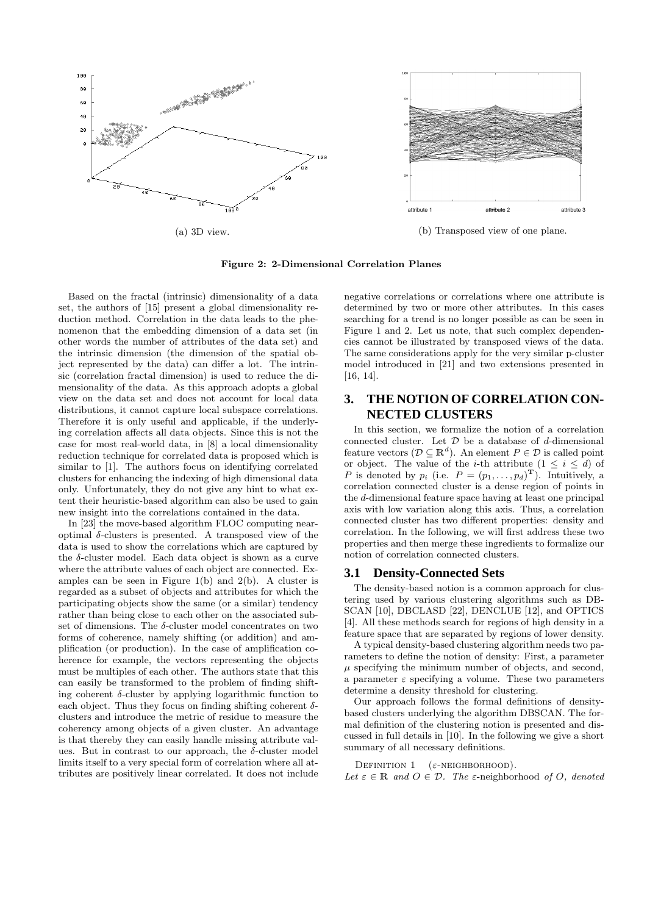

Figure 2: 2-Dimensional Correlation Planes

Based on the fractal (intrinsic) dimensionality of a data set, the authors of [15] present a global dimensionality reduction method. Correlation in the data leads to the phenomenon that the embedding dimension of a data set (in other words the number of attributes of the data set) and the intrinsic dimension (the dimension of the spatial object represented by the data) can differ a lot. The intrinsic (correlation fractal dimension) is used to reduce the dimensionality of the data. As this approach adopts a global view on the data set and does not account for local data distributions, it cannot capture local subspace correlations. Therefore it is only useful and applicable, if the underlying correlation affects all data objects. Since this is not the case for most real-world data, in [8] a local dimensionality reduction technique for correlated data is proposed which is similar to [1]. The authors focus on identifying correlated clusters for enhancing the indexing of high dimensional data only. Unfortunately, they do not give any hint to what extent their heuristic-based algorithm can also be used to gain new insight into the correlations contained in the data.

In [23] the move-based algorithm FLOC computing nearoptimal δ-clusters is presented. A transposed view of the data is used to show the correlations which are captured by the  $\delta$ -cluster model. Each data object is shown as a curve where the attribute values of each object are connected. Examples can be seen in Figure  $1(b)$  and  $2(b)$ . A cluster is regarded as a subset of objects and attributes for which the participating objects show the same (or a similar) tendency rather than being close to each other on the associated subset of dimensions. The  $\delta$ -cluster model concentrates on two forms of coherence, namely shifting (or addition) and amplification (or production). In the case of amplification coherence for example, the vectors representing the objects must be multiples of each other. The authors state that this can easily be transformed to the problem of finding shifting coherent  $\delta$ -cluster by applying logarithmic function to each object. Thus they focus on finding shifting coherent  $\delta$ clusters and introduce the metric of residue to measure the coherency among objects of a given cluster. An advantage is that thereby they can easily handle missing attribute values. But in contrast to our approach, the  $\delta$ -cluster model limits itself to a very special form of correlation where all attributes are positively linear correlated. It does not include

negative correlations or correlations where one attribute is determined by two or more other attributes. In this cases searching for a trend is no longer possible as can be seen in Figure 1 and 2. Let us note, that such complex dependencies cannot be illustrated by transposed views of the data. The same considerations apply for the very similar p-cluster model introduced in [21] and two extensions presented in [16, 14].

# **3. THE NOTION OF CORRELATION CON-NECTED CLUSTERS**

In this section, we formalize the notion of a correlation connected cluster. Let  $D$  be a database of d-dimensional feature vectors  $(\mathcal{D} \subseteq \mathbb{R}^d)$ . An element  $P \in \mathcal{D}$  is called point or object. The value of the *i*-th attribute  $(1 \leq i \leq d)$  of P is denoted by  $p_i$  (i.e.  $P = (p_1, \ldots, p_d)^\mathrm{T}$ ). Intuitively, a correlation connected cluster is a dense region of points in the d-dimensional feature space having at least one principal axis with low variation along this axis. Thus, a correlation connected cluster has two different properties: density and correlation. In the following, we will first address these two properties and then merge these ingredients to formalize our notion of correlation connected clusters.

### **3.1 Density-Connected Sets**

The density-based notion is a common approach for clustering used by various clustering algorithms such as DB-SCAN [10], DBCLASD [22], DENCLUE [12], and OPTICS [4]. All these methods search for regions of high density in a feature space that are separated by regions of lower density.

A typical density-based clustering algorithm needs two parameters to define the notion of density: First, a parameter  $\mu$  specifying the minimum number of objects, and second, a parameter  $\varepsilon$  specifying a volume. These two parameters determine a density threshold for clustering.

Our approach follows the formal definitions of densitybased clusters underlying the algorithm DBSCAN. The formal definition of the clustering notion is presented and discussed in full details in [10]. In the following we give a short summary of all necessary definitions.

DEFINITION  $1$  ( $\varepsilon$ -NEIGHBORHOOD).

Let  $\varepsilon \in \mathbb{R}$  and  $O \in \mathcal{D}$ . The  $\varepsilon$ -neighborhood of O, denoted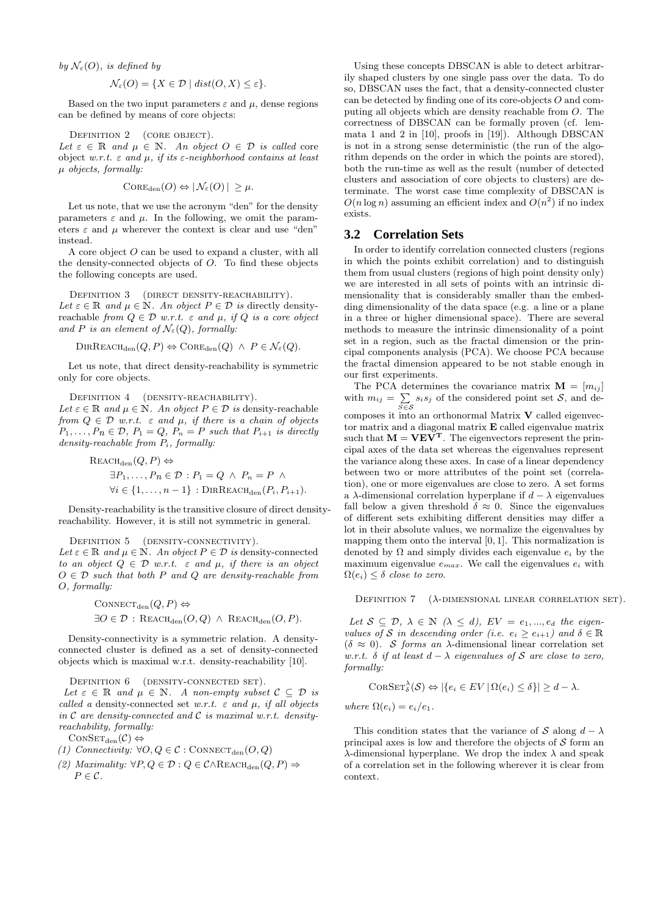by  $\mathcal{N}_{\varepsilon}(O)$ , is defined by

$$
\mathcal{N}_{\varepsilon}(O) = \{ X \in \mathcal{D} \mid dist(O, X) \le \varepsilon \}.
$$

Based on the two input parameters  $\varepsilon$  and  $\mu$ , dense regions can be defined by means of core objects:

Definition 2 (core object).

Let  $\varepsilon \in \mathbb{R}$  and  $\mu \in \mathbb{N}$ . An object  $O \in \mathcal{D}$  is called core object w.r.t.  $\varepsilon$  and  $\mu$ , if its  $\varepsilon$ -neighborhood contains at least  $\mu$  objects, formally:

$$
Cone_{den}(O) \Leftrightarrow |\mathcal{N}_{\varepsilon}(O)| \geq \mu.
$$

Let us note, that we use the acronym "den" for the density parameters  $\varepsilon$  and  $\mu$ . In the following, we omit the parameters  $\varepsilon$  and  $\mu$  wherever the context is clear and use "den" instead.

A core object O can be used to expand a cluster, with all the density-connected objects of O. To find these objects the following concepts are used.

DEFINITION 3 (DIRECT DENSITY-REACHABILITY). Let  $\varepsilon \in \mathbb{R}$  and  $\mu \in \mathbb{N}$ . An object  $P \in \mathcal{D}$  is directly densityreachable from  $Q \in \mathcal{D}$  w.r.t.  $\varepsilon$  and  $\mu$ , if Q is a core object and P is an element of  $\mathcal{N}_{\varepsilon}(Q)$ , formally:

$$
\text{DIRREACH}_{\text{den}}(Q, P) \Leftrightarrow \text{Cone}_{\text{den}}(Q) \ \wedge \ P \in \mathcal{N}_{\varepsilon}(Q).
$$

Let us note, that direct density-reachability is symmetric only for core objects.

DEFINITION 4 (DENSITY-REACHABILITY).

Let  $\varepsilon \in \mathbb{R}$  and  $\mu \in \mathbb{N}$ . An object  $P \in \mathcal{D}$  is density-reachable from  $Q \in \mathcal{D}$  w.r.t.  $\varepsilon$  and  $\mu$ , if there is a chain of objects  $P_1, \ldots, P_n \in \mathcal{D}, P_1 = Q, P_n = P$  such that  $P_{i+1}$  is directly density-reachable from  $P_i$ , formally:

REACH<sub>den</sub>
$$
(Q, P) \Leftrightarrow
$$
  
\n $\exists P_1, ..., P_n \in \mathcal{D} : P_1 = Q \land P_n = P \land$   
\n $\forall i \in \{1, ..., n-1\} : \text{DIRREACH}_{den}(P_i, P_{i+1}).$ 

Density-reachability is the transitive closure of direct densityreachability. However, it is still not symmetric in general.

#### DEFINITION 5 (DENSITY-CONNECTIVITY).

Let  $\varepsilon \in \mathbb{R}$  and  $\mu \in \mathbb{N}$ . An object  $P \in \mathcal{D}$  is density-connected to an object  $Q \in \mathcal{D}$  w.r.t.  $\varepsilon$  and  $\mu$ , if there is an object  $O \in \mathcal{D}$  such that both P and Q are density-reachable from O, formally:

$$
CONFect_{den}(Q, P) \Leftrightarrow
$$
  

$$
\exists O \in \mathcal{D} : REACH_{den}(O, Q) \land REACH_{den}(O, P).
$$

Density-connectivity is a symmetric relation. A densityconnected cluster is defined as a set of density-connected objects which is maximal w.r.t. density-reachability [10].

#### DEFINITION 6 (DENSITY-CONNECTED SET).

Let  $\varepsilon \in \mathbb{R}$  and  $\mu \in \mathbb{N}$ . A non-empty subset  $\mathcal{C} \subseteq \mathcal{D}$  is called a density-connected set w.r.t.  $\varepsilon$  and  $\mu$ , if all objects in  $C$  are density-connected and  $C$  is maximal w.r.t. densityreachability, formally:

 $\text{CONSET}_{\text{den}}(\mathcal{C}) \Leftrightarrow$ 

- (1) Connectivity:  $\forall O, Q \in \mathcal{C} : \text{ConvECT}_{\text{den}}(O,Q)$
- (2) Maximality:  $\forall P, Q \in \mathcal{D} : Q \in \mathcal{C} \land \text{REACH}_{den}(Q, P) \Rightarrow$  $P \in \mathcal{C}$ .

Using these concepts DBSCAN is able to detect arbitrarily shaped clusters by one single pass over the data. To do so, DBSCAN uses the fact, that a density-connected cluster can be detected by finding one of its core-objects O and computing all objects which are density reachable from O. The correctness of DBSCAN can be formally proven (cf. lemmata 1 and 2 in [10], proofs in [19]). Although DBSCAN is not in a strong sense deterministic (the run of the algorithm depends on the order in which the points are stored), both the run-time as well as the result (number of detected clusters and association of core objects to clusters) are determinate. The worst case time complexity of DBSCAN is  $O(n \log n)$  assuming an efficient index and  $O(n^2)$  if no index exists.

### **3.2 Correlation Sets**

In order to identify correlation connected clusters (regions in which the points exhibit correlation) and to distinguish them from usual clusters (regions of high point density only) we are interested in all sets of points with an intrinsic dimensionality that is considerably smaller than the embedding dimensionality of the data space (e.g. a line or a plane in a three or higher dimensional space). There are several methods to measure the intrinsic dimensionality of a point set in a region, such as the fractal dimension or the principal components analysis (PCA). We choose PCA because the fractal dimension appeared to be not stable enough in our first experiments.

The PCA determines the covariance matrix  $\mathbf{M} = [m_{ij}]$ with  $m_{ij} = \sum_{S \in \mathcal{S}} s_i s_j$  of the considered point set  $\mathcal{S}$ , and decomposes it into an orthonormal Matrix V called eigenvector matrix and a diagonal matrix  $E$  called eigenvalue matrix such that  $M = VEV^T$ . The eigenvectors represent the principal axes of the data set whereas the eigenvalues represent the variance along these axes. In case of a linear dependency between two or more attributes of the point set (correlation), one or more eigenvalues are close to zero. A set forms a  $\lambda$ -dimensional correlation hyperplane if  $d - \lambda$  eigenvalues fall below a given threshold  $\delta \approx 0$ . Since the eigenvalues of different sets exhibiting different densities may differ a lot in their absolute values, we normalize the eigenvalues by mapping them onto the interval  $[0, 1]$ . This normalization is denoted by  $\Omega$  and simply divides each eigenvalue  $e_i$  by the maximum eigenvalue  $e_{max}$ . We call the eigenvalues  $e_i$  with  $\Omega(e_i) \leq \delta$  close to zero.

DEFINITION  $7\quad (\lambda\text{-}\text{DIMENSIONAL LINEAR CORRELATION SET})$ .

Let  $S \subseteq \mathcal{D}, \lambda \in \mathbb{N} \ (\lambda \leq d), \ EV = e_1, ..., e_d$  the eigenvalues of S in descending order (i.e.  $e_i \geq e_{i+1}$ ) and  $\delta \in \mathbb{R}$ ( $\delta \approx 0$ ). S forms an  $\lambda$ -dimensional linear correlation set w.r.t.  $\delta$  if at least  $d - \lambda$  eigenvalues of S are close to zero, formally:

$$
\text{CORSET}_{\delta}^{\lambda}(\mathcal{S}) \Leftrightarrow |\{e_i \in EV \,|\, \Omega(e_i) \le \delta\}| \ge d - \lambda.
$$

where  $\Omega(e_i) = e_i/e_1$ .

This condition states that the variance of S along  $d - \lambda$ principal axes is low and therefore the objects of  $S$  form an λ-dimensional hyperplane. We drop the index λ and speak of a correlation set in the following wherever it is clear from context.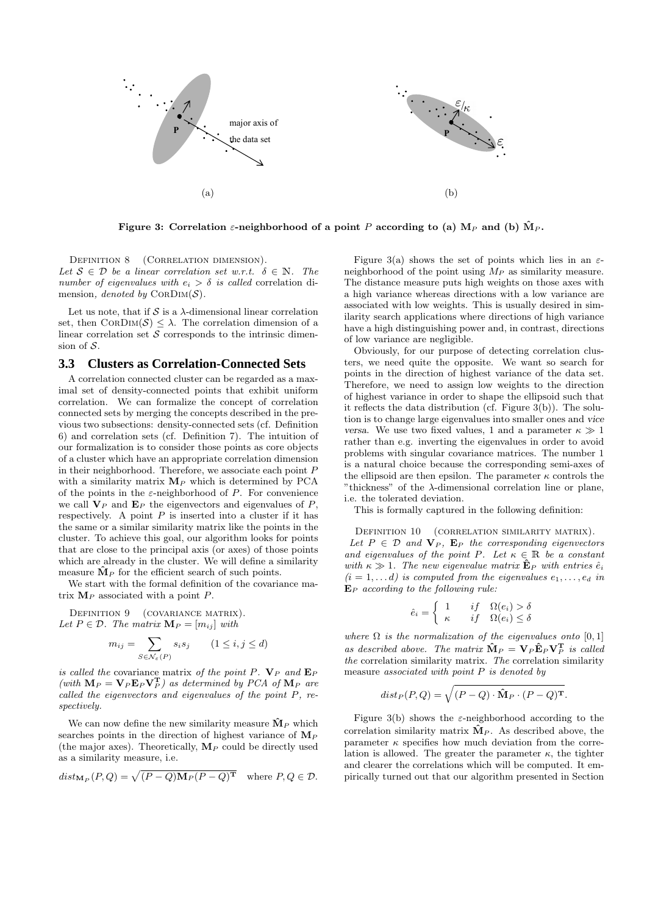

Figure 3: Correlation  $\varepsilon$ -neighborhood of a point P according to (a)  $M_P$  and (b)  $\hat{M}_P$ .

DEFINITION 8 (CORRELATION DIMENSION). Let  $S \in \mathcal{D}$  be a linear correlation set w.r.t.  $\delta \in \mathbb{N}$ . The number of eigenvalues with  $e_i > \delta$  is called correlation dimension, denoted by  $CORDim(S)$ .

Let us note, that if  $S$  is a  $\lambda$ -dimensional linear correlation set, then  $CORDM(S) \leq \lambda$ . The correlation dimension of a linear correlation set  $S$  corresponds to the intrinsic dimension of S.

### **3.3 Clusters as Correlation-Connected Sets**

A correlation connected cluster can be regarded as a maximal set of density-connected points that exhibit uniform correlation. We can formalize the concept of correlation connected sets by merging the concepts described in the previous two subsections: density-connected sets (cf. Definition 6) and correlation sets (cf. Definition 7). The intuition of our formalization is to consider those points as core objects of a cluster which have an appropriate correlation dimension in their neighborhood. Therefore, we associate each point P with a similarity matrix  $M_P$  which is determined by PCA of the points in the  $\varepsilon$ -neighborhood of P. For convenience we call  $V_P$  and  $E_P$  the eigenvectors and eigenvalues of  $P$ , respectively. A point  $P$  is inserted into a cluster if it has the same or a similar similarity matrix like the points in the cluster. To achieve this goal, our algorithm looks for points that are close to the principal axis (or axes) of those points which are already in the cluster. We will define a similarity measure  $M<sub>P</sub>$  for the efficient search of such points.

We start with the formal definition of the covariance matrix  $M_P$  associated with a point  $P$ .

DEFINITION 9 (COVARIANCE MATRIX). Let  $P \in \mathcal{D}$ . The matrix  $\mathbf{M}_P = [m_{ij}]$  with

$$
m_{ij} = \sum_{S \in \mathcal{N}_{\varepsilon}(P)} s_i s_j \qquad (1 \le i, j \le d)
$$

is called the covariance matrix of the point P.  $V_P$  and  $E_P$ (with  $\mathbf{M}_P = \mathbf{V}_P \mathbf{E}_P \mathbf{V}_P^{\mathsf{T}}$ ) as determined by PCA of  $\mathbf{M}_P$  are called the eigenvectors and eigenvalues of the point P, respectively.

We can now define the new similarity measure  $\mathbf{\hat{M}}_P$  which searches points in the direction of highest variance of  $\mathbf{M}_P$ (the major axes). Theoretically,  $\mathbf{M}_P$  could be directly used as a similarity measure, i.e.

$$
dist_{\mathbf{M}_P}(P,Q) = \sqrt{(P-Q)\mathbf{M}_P(P-Q)^{\mathbf{T}}} \quad \text{where } P,Q \in \mathcal{D}.
$$

Figure 3(a) shows the set of points which lies in an  $\varepsilon$ neighborhood of the point using  $M_P$  as similarity measure. The distance measure puts high weights on those axes with a high variance whereas directions with a low variance are associated with low weights. This is usually desired in similarity search applications where directions of high variance have a high distinguishing power and, in contrast, directions of low variance are negligible.

Obviously, for our purpose of detecting correlation clusters, we need quite the opposite. We want so search for points in the direction of highest variance of the data set. Therefore, we need to assign low weights to the direction of highest variance in order to shape the ellipsoid such that it reflects the data distribution (cf. Figure 3(b)). The solution is to change large eigenvalues into smaller ones and vice versa. We use two fixed values, 1 and a parameter  $\kappa \gg 1$ rather than e.g. inverting the eigenvalues in order to avoid problems with singular covariance matrices. The number 1 is a natural choice because the corresponding semi-axes of the ellipsoid are then epsilon. The parameter  $\kappa$  controls the "thickness" of the  $\lambda$ -dimensional correlation line or plane, i.e. the tolerated deviation.

This is formally captured in the following definition:

DEFINITION 10 (CORRELATION SIMILARITY MATRIX). Let  $P \in \mathcal{D}$  and  $\mathbf{V}_P$ . E<sub>P</sub> the corresponding eigenvectors and eigenvalues of the point P. Let  $\kappa \in \mathbb{R}$  be a constant with  $\kappa \gg 1$ . The new eigenvalue matrix  $\mathbf{\hat{E}}_P$  with entries  $\hat{e}_i$  $(i = 1, \ldots d)$  is computed from the eigenvalues  $e_1, \ldots, e_d$  in  $E_P$  according to the following rule:

$$
\hat{e}_i = \begin{cases} 1 & if & \Omega(e_i) > \delta \\ \kappa & if & \Omega(e_i) \leq \delta \end{cases}
$$

where  $\Omega$  is the normalization of the eigenvalues onto [0, 1] as described above. The matrix  $\mathbf{\hat{M}}_P = \mathbf{V}_P \mathbf{\hat{E}}_P \mathbf{V}_P^T$  is called the correlation similarity matrix. The correlation similarity measure associated with point  $P$  is denoted by

$$
dist_P(P,Q) = \sqrt{(P-Q) \cdot \hat{\mathbf{M}}_P \cdot (P-Q)^{\mathbf{T}}}.
$$

Figure 3(b) shows the  $\varepsilon$ -neighborhood according to the correlation similarity matrix  $\mathbf{\hat{M}}_P$ . As described above, the parameter  $\kappa$  specifies how much deviation from the correlation is allowed. The greater the parameter  $\kappa$ , the tighter and clearer the correlations which will be computed. It empirically turned out that our algorithm presented in Section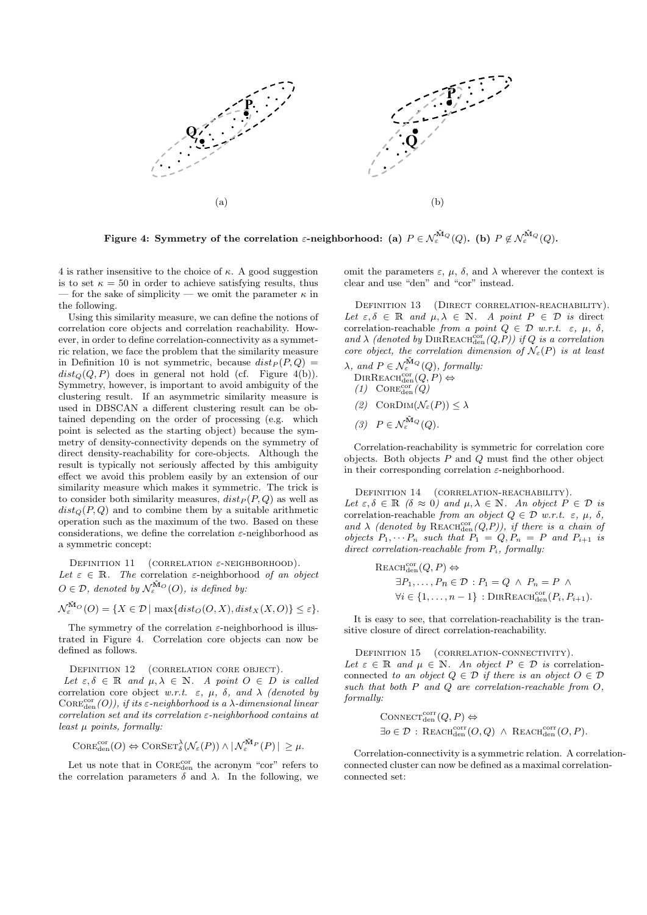

Figure 4: Symmetry of the correlation  $\varepsilon$ -neighborhood: (a)  $P\in \mathcal{N}^{\hat{\mathbf{M}}_Q}_\varepsilon(Q).$  (b)  $P\not\in \mathcal{N}^{\hat{\mathbf{M}}_Q}_\varepsilon(Q).$ 

4 is rather insensitive to the choice of  $\kappa$ . A good suggestion is to set  $\kappa = 50$  in order to achieve satisfying results, thus — for the sake of simplicity — we omit the parameter  $\kappa$  in the following.

Using this similarity measure, we can define the notions of correlation core objects and correlation reachability. However, in order to define correlation-connectivity as a symmetric relation, we face the problem that the similarity measure in Definition 10 is not symmetric, because  $dist_P (P, Q) =$  $dist_Q(Q, P)$  does in general not hold (cf. Figure 4(b)). Symmetry, however, is important to avoid ambiguity of the clustering result. If an asymmetric similarity measure is used in DBSCAN a different clustering result can be obtained depending on the order of processing (e.g. which point is selected as the starting object) because the symmetry of density-connectivity depends on the symmetry of direct density-reachability for core-objects. Although the result is typically not seriously affected by this ambiguity effect we avoid this problem easily by an extension of our similarity measure which makes it symmetric. The trick is to consider both similarity measures,  $dist_P (P, Q)$  as well as  $dist_Q(P,Q)$  and to combine them by a suitable arithmetic operation such as the maximum of the two. Based on these considerations, we define the correlation  $\varepsilon$ -neighborhood as a symmetric concept:

DEFINITION 11 (CORRELATION  $\varepsilon$ -NEIGHBORHOOD). Let  $\varepsilon \in \mathbb{R}$ . The correlation  $\varepsilon$ -neighborhood of an object  $O \in \mathcal{D}$ , denoted by  $\mathcal{N}_{\varepsilon}^{\hat{\mathbf{M}}_O}(O)$ , is defined by:

$$
\mathcal{N}_{\varepsilon}^{\hat{\mathbf{M}}_{O}}(O) = \{ X \in \mathcal{D} \mid \max \{ dist_O(O, X), dist_X(X, O) \} \le \varepsilon \}.
$$

The symmetry of the correlation  $\varepsilon$ -neighborhood is illustrated in Figure 4. Correlation core objects can now be defined as follows.

DEFINITION 12 (CORRELATION CORE OBJECT).

Let  $\varepsilon, \delta \in \mathbb{R}$  and  $\mu, \lambda \in \mathbb{N}$ . A point  $O \in D$  is called correlation core object w.r.t.  $\varepsilon$ ,  $\mu$ ,  $\delta$ , and  $\lambda$  (denoted by  $\mathrm{Cone}_{\mathrm{den}}^{\mathrm{cor}}(O)$ ), if its  $\varepsilon$ -neighborhood is a  $\lambda$ -dimensional linear correlation set and its correlation ε-neighborhood contains at least  $\mu$  points, formally:

$$
\text{Cone}_{\text{den}}^{\text{cor}}(O) \Leftrightarrow \text{Cone}_{\delta}^{\text{Cov}}(\mathcal{N}_{\varepsilon}(P)) \wedge |\mathcal{N}_{\varepsilon}^{\hat{M}_P}(P)| \geq \mu.
$$

Let us note that in  $\textsc{Core}_\text{den}^\text{cor}$  the acronym "cor" refers to the correlation parameters  $\delta$  and  $\lambda$ . In the following, we omit the parameters  $ε$ ,  $μ$ ,  $δ$ , and  $λ$  wherever the context is clear and use "den" and "cor" instead.

DEFINITION 13 (DIRECT CORRELATION-REACHABILITY). Let  $\varepsilon, \delta \in \mathbb{R}$  and  $\mu, \lambda \in \mathbb{N}$ . A point  $P \in \mathcal{D}$  is direct correlation-reachable from a point  $Q \in \mathcal{D}$  w.r.t.  $\varepsilon, \mu, \delta$ , and  $\lambda$  (denoted by DIRREACH<sup>cor</sup><sub>den</sub>(Q,P)) if Q is a correlation core object, the correlation dimension of  $\mathcal{N}_{\varepsilon}(P)$  is at least

- $\lambda$ , and  $P \in \mathcal{N}_{\varepsilon}^{\mathbf{\hat{M}}_Q}(Q)$ , formally.  $\text{DIRREACH}^{\text{cor}}_{\text{den}}(Q, P) \Leftrightarrow$ 
	- $(1)$  COREcor $(Q)$
	- (2)  $CORDim(\mathcal{N}_{\varepsilon}(P)) \leq \lambda$
	- (3)  $P \in \mathcal{N}_{\varepsilon}^{\hat{\mathbf{M}}_Q}(Q)$ .

Correlation-reachability is symmetric for correlation core objects. Both objects  $P$  and  $Q$  must find the other object in their corresponding correlation  $\varepsilon$ -neighborhood.

DEFINITION 14 (CORRELATION-REACHABILITY). Let  $\varepsilon, \delta \in \mathbb{R}$  ( $\delta \approx 0$ ) and  $\mu, \lambda \in \mathbb{N}$ . An object  $P \in \mathcal{D}$  is correlation-reachable from an object  $Q \in \mathcal{D}$  w.r.t.  $\varepsilon, \mu, \delta$ , and  $\lambda$  (denoted by REACH<sup>cor</sup> (Q,P)), if there is a chain of objects  $P_1, \cdots P_n$  such that  $P_1 = Q, P_n = P$  and  $P_{i+1}$  is direct correlation-reachable from  $P_i$ , formally:

$$
\begin{aligned} \text{REACH}_{\text{den}}^{\text{cor}}(Q, P) &\Leftrightarrow\\ \exists P_1, \dots, P_n \in \mathcal{D} : P_1 = Q \land P_n = P \land\\ \forall i \in \{1, \dots, n-1\} : \text{DIRREACH}_{\text{den}}^{\text{cor}}(P_i, P_{i+1}). \end{aligned}
$$

It is easy to see, that correlation-reachability is the transitive closure of direct correlation-reachability.

DEFINITION 15 (CORRELATION-CONNECTIVITY). Let  $\varepsilon \in \mathbb{R}$  and  $\mu \in \mathbb{N}$ . An object  $P \in \mathcal{D}$  is correlationconnected to an object  $Q \in \mathcal{D}$  if there is an object  $O \in \mathcal{D}$ such that both  $P$  and  $Q$  are correlation-reachable from  $O$ , formally:

$$
CONF_{den}(Q, P) \Leftrightarrow
$$
  

$$
\exists o \in \mathcal{D} : REACH_{den}^{corr}(O, Q) \land REACH_{den}^{corr}(O, P).
$$

Correlation-connectivity is a symmetric relation. A correlationconnected cluster can now be defined as a maximal correlationconnected set: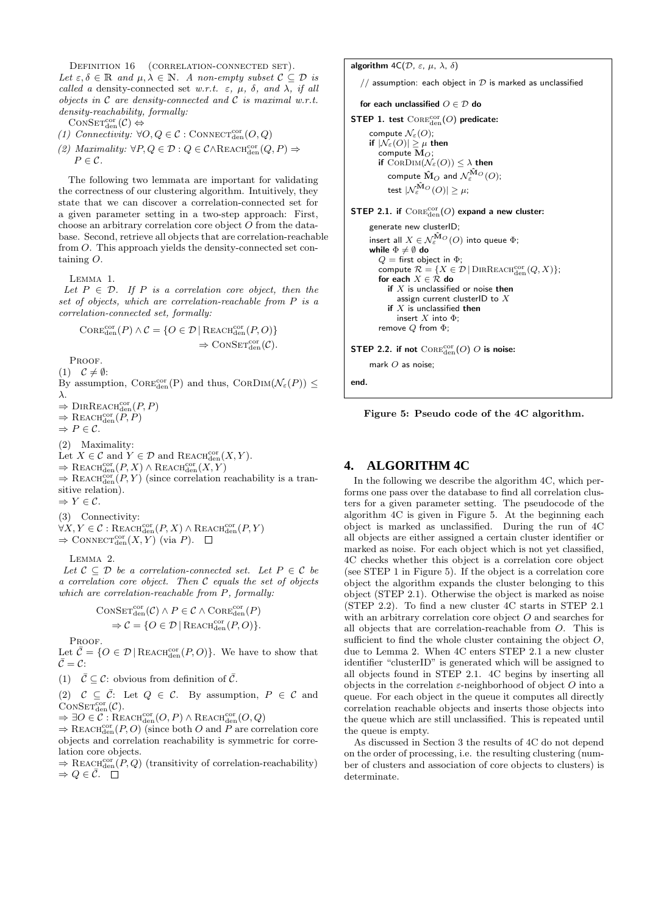DEFINITION 16 (CORRELATION-CONNECTED SET). Let  $\varepsilon, \delta \in \mathbb{R}$  and  $\mu, \lambda \in \mathbb{N}$ . A non-empty subset  $\mathcal{C} \subseteq \mathcal{D}$  is called a density-connected set w.r.t.  $\varepsilon$ ,  $\mu$ ,  $\delta$ , and  $\lambda$ , if all objects in  $C$  are density-connected and  $C$  is maximal w.r.t. density-reachability, formally:

 $\mathrm{ConvSET}^{\mathrm{cor}}_{\mathrm{den}}(\mathcal{C}) \Leftrightarrow$ 

- (1) Connectivity:  $\forall O, Q \in \mathcal{C}$ : CONNECT<sub>den</sub> $(O, Q)$
- (2) Maximality:  $\forall P, Q \in \mathcal{D} : Q \in \mathcal{C} \land \text{REACH}_{den}^{cor}(Q, P) \Rightarrow$  $P \in \mathcal{C}$ .

The following two lemmata are important for validating the correctness of our clustering algorithm. Intuitively, they state that we can discover a correlation-connected set for a given parameter setting in a two-step approach: First, choose an arbitrary correlation core object O from the database. Second, retrieve all objects that are correlation-reachable from O. This approach yields the density-connected set containing O.

Lemma 1.

Let  $P \in \mathcal{D}$ . If P is a correlation core object, then the set of objects, which are correlation-reachable from P is a correlation-connected set, formally:

$$
Cone^{cor}_{den}(P) \land C = \{O \in \mathcal{D} \mid \text{REACH}_{den}^{cor}(P, O) \} \Rightarrow \text{CONF}_{den}^{cor}(C).
$$

PROOF.

 $(1)$   $C \neq \emptyset$ :

By assumption,  $\text{Cone}_{\text{den}}^{\text{cor}}(P)$  and thus,  $\text{Cone}_{\text{DIM}}(\mathcal{N}_{\varepsilon}(P)) \leq$ λ.

 $\Rightarrow$  DIRREACH<sup>cor</sup><sub>den</sub> $(P, P)$ 

 $\Rightarrow$  REACH<sub>den</sub> $(P, P)$ 

 $\Rightarrow P \in \mathcal{C}.$ 

(2) Maximality:

Let  $X \in \mathcal{C}$  and  $Y \in \mathcal{D}$  and REACH<sup>cor</sup><sub>den</sub> $(X, Y)$ .

 $\Rightarrow$  REACH<sup>cor</sup> $(P, X) \wedge$  REACH<sup>cor</sup> $(X, Y)$ 

 $\Rightarrow$  REACH<sub>den</sub> $(P, Y)$  (since correlation reachability is a transitive relation).

 $\Rightarrow$  Y  $\in \mathcal{C}$ .

(3) Connectivity:

 $\forall X,Y\in\mathcal{C}: \text{Reach}^\text{cor}_{\text{den}}(P,X)\wedge\text{Reach}^\text{cor}_{\text{den}}(P,Y)$ 

 $\Rightarrow$  CONNECT<sub>den</sub> $(X, Y)$  (via P).

Lemma 2.

Let  $C \subseteq \mathcal{D}$  be a correlation-connected set. Let  $P \in \mathcal{C}$  be a correlation core object. Then  $C$  equals the set of objects which are correlation-reachable from P, formally:

$$
\text{Cons}\mathsf{ET}_{\text{den}}^{\text{cor}}(\mathcal{C}) \land P \in \mathcal{C} \land \text{Core}\n\mathsf{Gen}^{\text{cor}}_{\text{den}}(P)
$$
\n
$$
\Rightarrow \mathcal{C} = \{O \in \mathcal{D} \mid \text{REACH}\n\mathsf{den}^{\text{cor}}(P, O) \}.
$$

PROOF.

Let  $\bar{\mathcal{C}} = \{O \in \mathcal{D} \mid \text{REACH}_{den}^{cor}(P, O)\}.$  We have to show that  $C = C$ :

(1)  $\bar{\mathcal{C}} \subseteq \mathcal{C}$ : obvious from definition of  $\bar{\mathcal{C}}$ .

(2)  $C \subseteq \overline{C}$ : Let  $Q \in C$ . By assumption,  $P \in C$  and  $\mathrm{CONSET}^{\mathrm{cor}}_{\mathrm{den}}(\mathcal{C}).$ 

 $\Rightarrow \exists O \in \mathcal{C} : \text{REACH}_{den}^{cor}(O, P) \wedge \text{REACH}_{den}^{cor}(O, Q)$ 

 $\Rightarrow$  REACH<sub>den</sub>(P,O) (since both O and P are correlation core objects and correlation reachability is symmetric for correlation core objects.

 $\Rightarrow$  REACH<sup>cor</sup> (*P, Q*) (transitivity of correlation-reachability)  $\Rightarrow Q \in \bar{C}$ .  $\Box$ 

algorithm  $4C(\mathcal{D}, \varepsilon, \mu, \lambda, \delta)$ 

// assumption: each object in  $D$  is marked as unclassified

```
for each unclassified O \in \mathcal{D} do
```

```
STEP 1. test \text{Cone}_{\text{den}}^{\text{cor}}(O) predicate:
```
compute  $\mathcal{N}_{\varepsilon}(O)$ ; if  $|\mathcal{N}_{\varepsilon}(O)| \geq \mu$  then compute  $\mathbf{M}_{\Omega}$ if  $\text{ConDim}(\mathcal{N}_{\varepsilon}(O)) \leq \lambda$  then compute  $\hat{\mathbf{M}}_{O}$  and  $\mathcal{N}^{\hat{\mathbf{M}}_{O}}_{\varepsilon}(O);$ test  $|\mathcal{N}^{\mathbf{\hat{M}}_O}_\varepsilon(O)|\geq\mu;$ 

STEP 2.1. if  $\text{Cone}_{\text{den}}^{\text{cor}}(O)$  expand a new cluster:

```
generate new clusterID;
insert all X \in \mathcal{N}^{\hat{\mathbf{M}}_{O}}_{\varepsilon}(O) into queue \Phi;
while \Phi \neq \emptyset do
   Q = first object in \Phi;
    compute \mathcal{R} = \{ X \in \mathcal{D} \mid \text{DIRREACH}_{\text{den}}^{\text{cor}}(Q, X) \};for each X \in \mathcal{R} do
       if X is unclassified or noise then
          assign current clusterID to Xif X is unclassified then
          insert X into \Phiremove Q from \Phi;
```
STEP 2.2. if not  $\mathrm{CoRE}_{\mathrm{den}}^{\mathrm{cor}}(\mathcal{O})$   $\mathcal{O}$  is noise:

mark O as noise;

end.

Figure 5: Pseudo code of the 4C algorithm.

### **4. ALGORITHM 4C**

In the following we describe the algorithm 4C, which performs one pass over the database to find all correlation clusters for a given parameter setting. The pseudocode of the algorithm 4C is given in Figure 5. At the beginning each object is marked as unclassified. During the run of 4C all objects are either assigned a certain cluster identifier or marked as noise. For each object which is not yet classified, 4C checks whether this object is a correlation core object (see STEP 1 in Figure 5). If the object is a correlation core object the algorithm expands the cluster belonging to this object (STEP 2.1). Otherwise the object is marked as noise (STEP 2.2). To find a new cluster 4C starts in STEP 2.1 with an arbitrary correlation core object  $O$  and searches for all objects that are correlation-reachable from O. This is sufficient to find the whole cluster containing the object  $O$ , due to Lemma 2. When 4C enters STEP 2.1 a new cluster identifier "clusterID" is generated which will be assigned to all objects found in STEP 2.1. 4C begins by inserting all objects in the correlation  $\varepsilon$ -neighborhood of object  $O$  into a queue. For each object in the queue it computes all directly correlation reachable objects and inserts those objects into the queue which are still unclassified. This is repeated until the queue is empty.

As discussed in Section 3 the results of 4C do not depend on the order of processing, i.e. the resulting clustering (number of clusters and association of core objects to clusters) is determinate.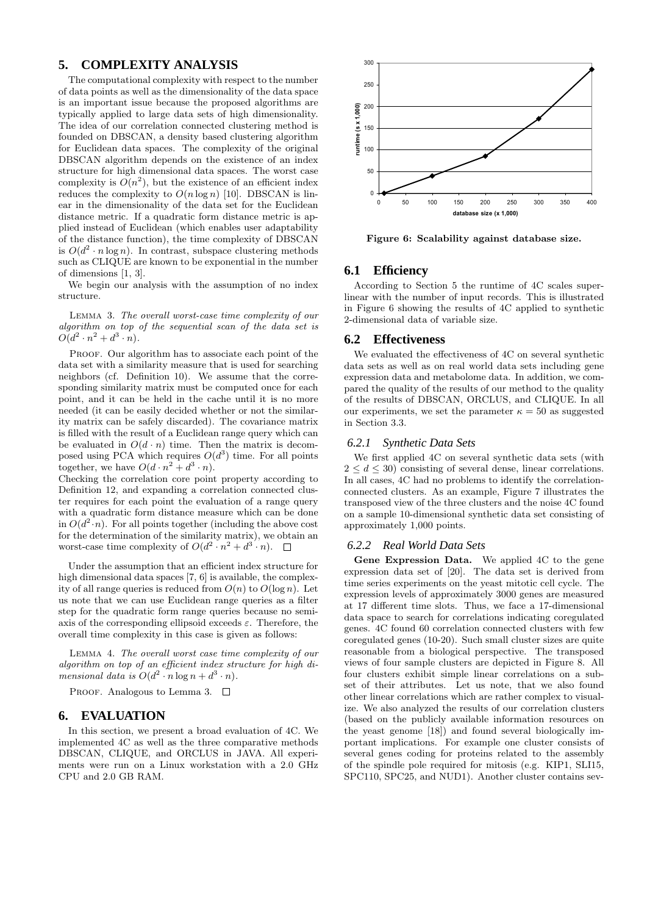### **5. COMPLEXITY ANALYSIS**

The computational complexity with respect to the number of data points as well as the dimensionality of the data space is an important issue because the proposed algorithms are typically applied to large data sets of high dimensionality. The idea of our correlation connected clustering method is founded on DBSCAN, a density based clustering algorithm for Euclidean data spaces. The complexity of the original DBSCAN algorithm depends on the existence of an index structure for high dimensional data spaces. The worst case complexity is  $O(n^2)$ , but the existence of an efficient index reduces the complexity to  $O(n \log n)$  [10]. DBSCAN is linear in the dimensionality of the data set for the Euclidean distance metric. If a quadratic form distance metric is applied instead of Euclidean (which enables user adaptability of the distance function), the time complexity of DBSCAN is  $O(d^2 \cdot n \log n)$ . In contrast, subspace clustering methods such as CLIQUE are known to be exponential in the number of dimensions [1, 3].

We begin our analysis with the assumption of no index structure.

Lemma 3. The overall worst-case time complexity of our algorithm on top of the sequential scan of the data set is  $O(d^2 \cdot n^2 + d^3 \cdot n).$ 

PROOF. Our algorithm has to associate each point of the data set with a similarity measure that is used for searching neighbors (cf. Definition 10). We assume that the corresponding similarity matrix must be computed once for each point, and it can be held in the cache until it is no more needed (it can be easily decided whether or not the similarity matrix can be safely discarded). The covariance matrix is filled with the result of a Euclidean range query which can be evaluated in  $O(d \cdot n)$  time. Then the matrix is decomposed using PCA which requires  $O(d^3)$  time. For all points together, we have  $O(d \cdot n^2 + d^3 \cdot n)$ .

Checking the correlation core point property according to Definition 12, and expanding a correlation connected cluster requires for each point the evaluation of a range query with a quadratic form distance measure which can be done in  $O(d^2 \cdot n)$ . For all points together (including the above cost for the determination of the similarity matrix), we obtain an worst-case time complexity of  $O(d^2 \cdot n^2 + d^{3} \cdot n)$ .

Under the assumption that an efficient index structure for high dimensional data spaces [7, 6] is available, the complexity of all range queries is reduced from  $O(n)$  to  $O(\log n)$ . Let us note that we can use Euclidean range queries as a filter step for the quadratic form range queries because no semiaxis of the corresponding ellipsoid exceeds  $\varepsilon$ . Therefore, the overall time complexity in this case is given as follows:

Lemma 4. The overall worst case time complexity of our algorithm on top of an efficient index structure for high dimensional data is  $O(d^2 \cdot n \log n + d^3 \cdot n)$ .

PROOF. Analogous to Lemma 3.  $\square$ 

### **6. EVALUATION**

In this section, we present a broad evaluation of 4C. We implemented 4C as well as the three comparative methods DBSCAN, CLIQUE, and ORCLUS in JAVA. All experiments were run on a Linux workstation with a 2.0 GHz CPU and 2.0 GB RAM.



Figure 6: Scalability against database size.

### **6.1 Efficiency**

According to Section 5 the runtime of 4C scales superlinear with the number of input records. This is illustrated in Figure 6 showing the results of 4C applied to synthetic 2-dimensional data of variable size.

#### **6.2 Effectiveness**

We evaluated the effectiveness of 4C on several synthetic data sets as well as on real world data sets including gene expression data and metabolome data. In addition, we compared the quality of the results of our method to the quality of the results of DBSCAN, ORCLUS, and CLIQUE. In all our experiments, we set the parameter  $\kappa = 50$  as suggested in Section 3.3.

#### *6.2.1 Synthetic Data Sets*

We first applied 4C on several synthetic data sets (with  $2 \leq d \leq 30$ ) consisting of several dense, linear correlations. In all cases, 4C had no problems to identify the correlationconnected clusters. As an example, Figure 7 illustrates the transposed view of the three clusters and the noise 4C found on a sample 10-dimensional synthetic data set consisting of approximately 1,000 points.

#### *6.2.2 Real World Data Sets*

Gene Expression Data. We applied 4C to the gene expression data set of [20]. The data set is derived from time series experiments on the yeast mitotic cell cycle. The expression levels of approximately 3000 genes are measured at 17 different time slots. Thus, we face a 17-dimensional data space to search for correlations indicating coregulated genes. 4C found 60 correlation connected clusters with few coregulated genes (10-20). Such small cluster sizes are quite reasonable from a biological perspective. The transposed views of four sample clusters are depicted in Figure 8. All four clusters exhibit simple linear correlations on a subset of their attributes. Let us note, that we also found other linear correlations which are rather complex to visualize. We also analyzed the results of our correlation clusters (based on the publicly available information resources on the yeast genome [18]) and found several biologically important implications. For example one cluster consists of several genes coding for proteins related to the assembly of the spindle pole required for mitosis (e.g. KIP1, SLI15, SPC110, SPC25, and NUD1). Another cluster contains sev-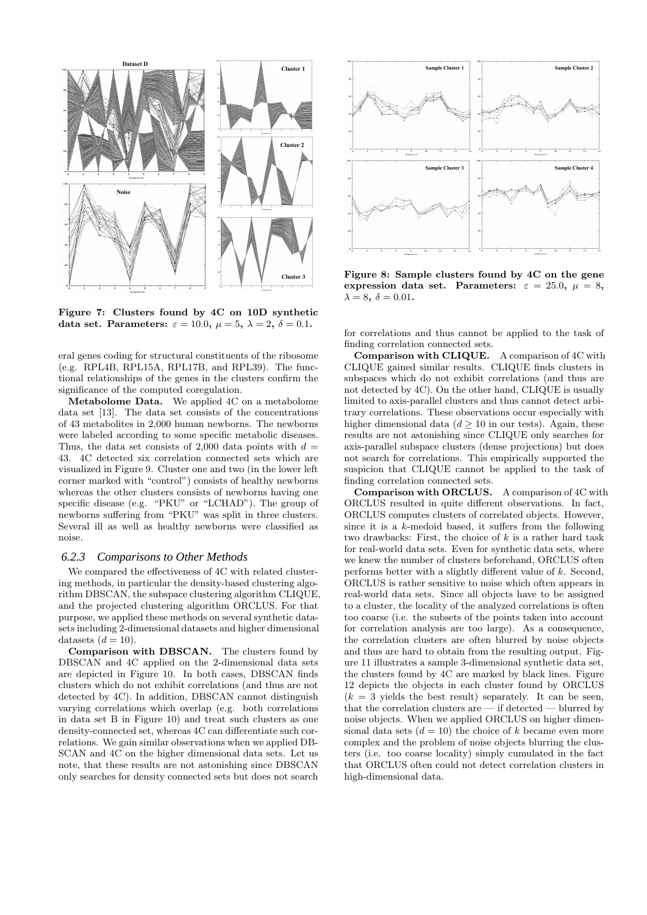

Figure 7: Clusters found by 4C on 10D synthetic data set. Parameters:  $\varepsilon = 10.0$ ,  $\mu = 5$ ,  $\lambda = 2$ ,  $\delta = 0.1$ .

eral genes coding for structural constituents of the ribosome (e.g. RPL4B, RPL15A, RPL17B, and RPL39). The functional relationships of the genes in the clusters confirm the significance of the computed coregulation.

Metabolome Data. We applied 4C on a metabolome data set [13]. The data set consists of the concentrations of 43 metabolites in 2,000 human newborns. The newborns were labeled according to some specific metabolic diseases. Thus, the data set consists of 2,000 data points with  $d =$ 43. 4C detected six correlation connected sets which are visualized in Figure 9. Cluster one and two (in the lower left corner marked with "control") consists of healthy newborns whereas the other clusters consists of newborns having one specific disease (e.g. "PKU" or "LCHAD"). The group of newborns suffering from "PKU" was split in three clusters. Several ill as well as healthy newborns were classified as noise.

### *6.2.3 Comparisons to Other Methods*

We compared the effectiveness of 4C with related clustering methods, in particular the density-based clustering algorithm DBSCAN, the subspace clustering algorithm CLIQUE, and the projected clustering algorithm ORCLUS. For that purpose, we applied these methods on several synthetic datasets including 2-dimensional datasets and higher dimensional datasets  $(d = 10)$ .

Comparison with DBSCAN. The clusters found by DBSCAN and 4C applied on the 2-dimensional data sets are depicted in Figure 10. In both cases, DBSCAN finds clusters which do not exhibit correlations (and thus are not detected by 4C). In addition, DBSCAN cannot distinguish varying correlations which overlap (e.g. both correlations in data set B in Figure 10) and treat such clusters as one density-connected set, whereas 4C can differentiate such correlations. We gain similar observations when we applied DB-SCAN and 4C on the higher dimensional data sets. Let us note, that these results are not astonishing since DBSCAN only searches for density connected sets but does not search



Figure 8: Sample clusters found by 4C on the gene expression data set. Parameters:  $\varepsilon = 25.0, \mu = 8,$  $\lambda = 8, \delta = 0.01$ .

for correlations and thus cannot be applied to the task of finding correlation connected sets.

Comparison with CLIQUE. A comparison of 4C with CLIQUE gained similar results. CLIQUE finds clusters in subspaces which do not exhibit correlations (and thus are not detected by 4C). On the other hand, CLIQUE is usually limited to axis-parallel clusters and thus cannot detect arbitrary correlations. These observations occur especially with higher dimensional data  $(d > 10$  in our tests). Again, these results are not astonishing since CLIQUE only searches for axis-parallel subspace clusters (dense projections) but does not search for correlations. This empirically supported the suspicion that CLIQUE cannot be applied to the task of finding correlation connected sets.

Comparison with ORCLUS. A comparison of 4C with ORCLUS resulted in quite different observations. In fact, ORCLUS computes clusters of correlated objects. However, since it is a k-medoid based, it suffers from the following two drawbacks: First, the choice of  $k$  is a rather hard task for real-world data sets. Even for synthetic data sets, where we knew the number of clusters beforehand, ORCLUS often performs better with a slightly different value of k. Second, ORCLUS is rather sensitive to noise which often appears in real-world data sets. Since all objects have to be assigned to a cluster, the locality of the analyzed correlations is often too coarse (i.e. the subsets of the points taken into account for correlation analysis are too large). As a consequence, the correlation clusters are often blurred by noise objects and thus are hard to obtain from the resulting output. Figure 11 illustrates a sample 3-dimensional synthetic data set, the clusters found by 4C are marked by black lines. Figure 12 depicts the objects in each cluster found by ORCLUS  $(k = 3$  yields the best result) separately. It can be seen, that the correlation clusters are — if detected — blurred by noise objects. When we applied ORCLUS on higher dimensional data sets  $(d = 10)$  the choice of k became even more complex and the problem of noise objects blurring the clusters (i.e. too coarse locality) simply cumulated in the fact that ORCLUS often could not detect correlation clusters in high-dimensional data.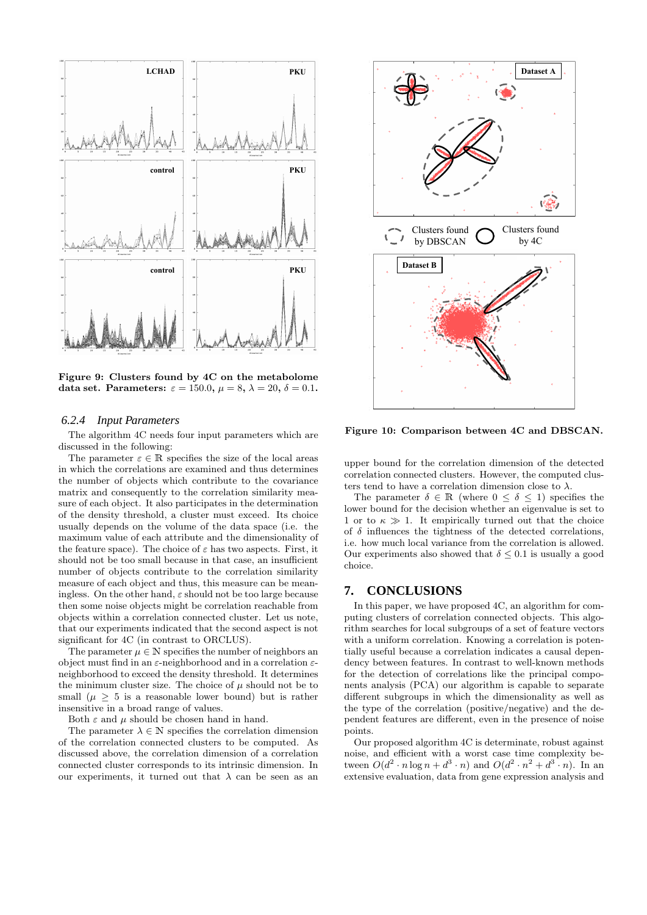

Figure 9: Clusters found by 4C on the metabolome data set. Parameters:  $\varepsilon = 150.0$ ,  $\mu = 8$ ,  $\lambda = 20$ ,  $\delta = 0.1$ .

### *6.2.4 Input Parameters*

The algorithm 4C needs four input parameters which are discussed in the following:

The parameter  $\varepsilon \in \mathbb{R}$  specifies the size of the local areas in which the correlations are examined and thus determines the number of objects which contribute to the covariance matrix and consequently to the correlation similarity measure of each object. It also participates in the determination of the density threshold, a cluster must exceed. Its choice usually depends on the volume of the data space (i.e. the maximum value of each attribute and the dimensionality of the feature space). The choice of  $\varepsilon$  has two aspects. First, it should not be too small because in that case, an insufficient number of objects contribute to the correlation similarity measure of each object and thus, this measure can be meaningless. On the other hand,  $\varepsilon$  should not be too large because then some noise objects might be correlation reachable from objects within a correlation connected cluster. Let us note, that our experiments indicated that the second aspect is not significant for 4C (in contrast to ORCLUS).

The parameter  $\mu \in \mathbb{N}$  specifies the number of neighbors an object must find in an  $\varepsilon$ -neighborhood and in a correlation  $\varepsilon$ neighborhood to exceed the density threshold. It determines the minimum cluster size. The choice of  $\mu$  should not be to small ( $\mu \geq 5$  is a reasonable lower bound) but is rather insensitive in a broad range of values.

Both  $\varepsilon$  and  $\mu$  should be chosen hand in hand.

The parameter  $\lambda \in \mathbb{N}$  specifies the correlation dimension of the correlation connected clusters to be computed. As discussed above, the correlation dimension of a correlation connected cluster corresponds to its intrinsic dimension. In our experiments, it turned out that  $\lambda$  can be seen as an



Figure 10: Comparison between 4C and DBSCAN.

upper bound for the correlation dimension of the detected correlation connected clusters. However, the computed clusters tend to have a correlation dimension close to  $\lambda$ .

The parameter  $\delta \in \mathbb{R}$  (where  $0 \leq \delta \leq 1$ ) specifies the lower bound for the decision whether an eigenvalue is set to 1 or to  $\kappa \gg 1$ . It empirically turned out that the choice of  $\delta$  influences the tightness of the detected correlations, i.e. how much local variance from the correlation is allowed. Our experiments also showed that  $\delta \leq 0.1$  is usually a good choice.

### **7. CONCLUSIONS**

In this paper, we have proposed 4C, an algorithm for computing clusters of correlation connected objects. This algorithm searches for local subgroups of a set of feature vectors with a uniform correlation. Knowing a correlation is potentially useful because a correlation indicates a causal dependency between features. In contrast to well-known methods for the detection of correlations like the principal components analysis (PCA) our algorithm is capable to separate different subgroups in which the dimensionality as well as the type of the correlation (positive/negative) and the dependent features are different, even in the presence of noise points.

Our proposed algorithm 4C is determinate, robust against noise, and efficient with a worst case time complexity between  $O(d^2 \cdot n \log n + d^3 \cdot n)$  and  $O(d^2 \cdot n^2 + d^3 \cdot n)$ . In an extensive evaluation, data from gene expression analysis and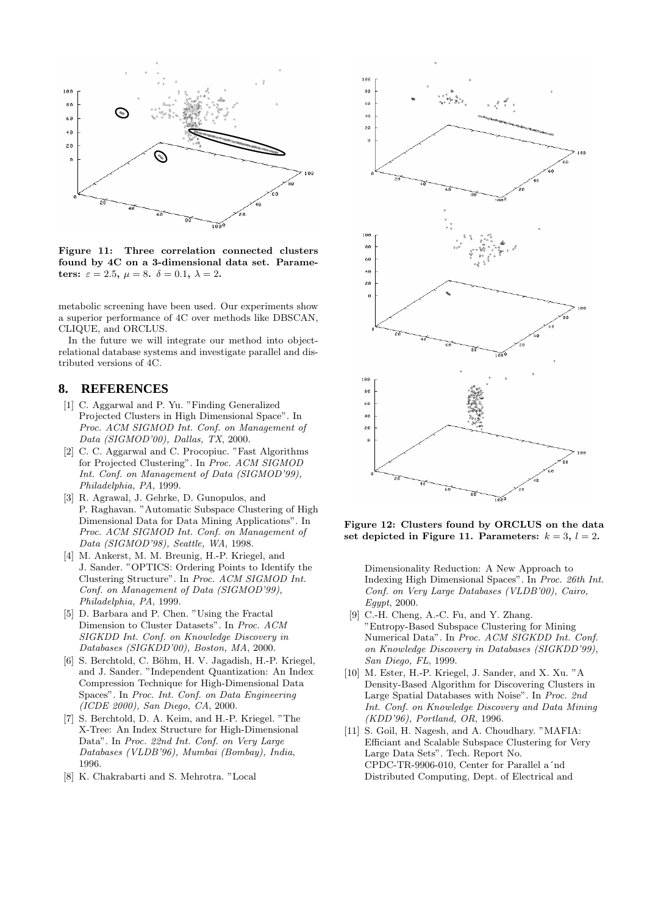

Figure 11: Three correlation connected clusters found by 4C on a 3-dimensional data set. Parameters:  $\varepsilon = 2.5$ ,  $\mu = 8$ .  $\delta = 0.1$ ,  $\lambda = 2$ .

metabolic screening have been used. Our experiments show a superior performance of 4C over methods like DBSCAN, CLIQUE, and ORCLUS.

In the future we will integrate our method into objectrelational database systems and investigate parallel and distributed versions of 4C.

### **8. REFERENCES**

- [1] C. Aggarwal and P. Yu. "Finding Generalized Projected Clusters in High Dimensional Space". In Proc. ACM SIGMOD Int. Conf. on Management of Data (SIGMOD'00), Dallas, TX, 2000.
- [2] C. C. Aggarwal and C. Procopiuc. "Fast Algorithms for Projected Clustering". In Proc. ACM SIGMOD Int. Conf. on Management of Data (SIGMOD'99), Philadelphia, PA, 1999.
- [3] R. Agrawal, J. Gehrke, D. Gunopulos, and P. Raghavan. "Automatic Subspace Clustering of High Dimensional Data for Data Mining Applications". In Proc. ACM SIGMOD Int. Conf. on Management of Data (SIGMOD'98), Seattle, WA, 1998.
- [4] M. Ankerst, M. M. Breunig, H.-P. Kriegel, and J. Sander. "OPTICS: Ordering Points to Identify the Clustering Structure". In Proc. ACM SIGMOD Int. Conf. on Management of Data (SIGMOD'99), Philadelphia, PA, 1999.
- [5] D. Barbara and P. Chen. "Using the Fractal Dimension to Cluster Datasets". In Proc. ACM SIGKDD Int. Conf. on Knowledge Discovery in Databases (SIGKDD'00), Boston, MA, 2000.
- [6] S. Berchtold, C. Böhm, H. V. Jagadish, H.-P. Kriegel, and J. Sander. "Independent Quantization: An Index Compression Technique for High-Dimensional Data Spaces". In Proc. Int. Conf. on Data Engineering (ICDE 2000), San Diego, CA, 2000.
- [7] S. Berchtold, D. A. Keim, and H.-P. Kriegel. "The X-Tree: An Index Structure for High-Dimensional Data". In Proc. 22nd Int. Conf. on Very Large Databases (VLDB'96), Mumbai (Bombay), India, 1996.
- [8] K. Chakrabarti and S. Mehrotra. "Local



Figure 12: Clusters found by ORCLUS on the data set depicted in Figure 11. Parameters:  $k = 3$ ,  $l = 2$ .

Dimensionality Reduction: A New Approach to Indexing High Dimensional Spaces". In Proc. 26th Int. Conf. on Very Large Databases (VLDB'00), Cairo, Egypt, 2000.

- [9] C.-H. Cheng, A.-C. Fu, and Y. Zhang. "Entropy-Based Subspace Clustering for Mining Numerical Data". In Proc. ACM SIGKDD Int. Conf. on Knowledge Discovery in Databases (SIGKDD'99), San Diego, FL, 1999.
- [10] M. Ester, H.-P. Kriegel, J. Sander, and X. Xu. "A Density-Based Algorithm for Discovering Clusters in Large Spatial Databases with Noise". In Proc. 2nd Int. Conf. on Knowledge Discovery and Data Mining (KDD'96), Portland, OR, 1996.
- [11] S. Goil, H. Nagesh, and A. Choudhary. "MAFIA: Efficiant and Scalable Subspace Clustering for Very Large Data Sets". Tech. Report No. CPDC-TR-9906-010, Center for Parallel a´nd Distributed Computing, Dept. of Electrical and